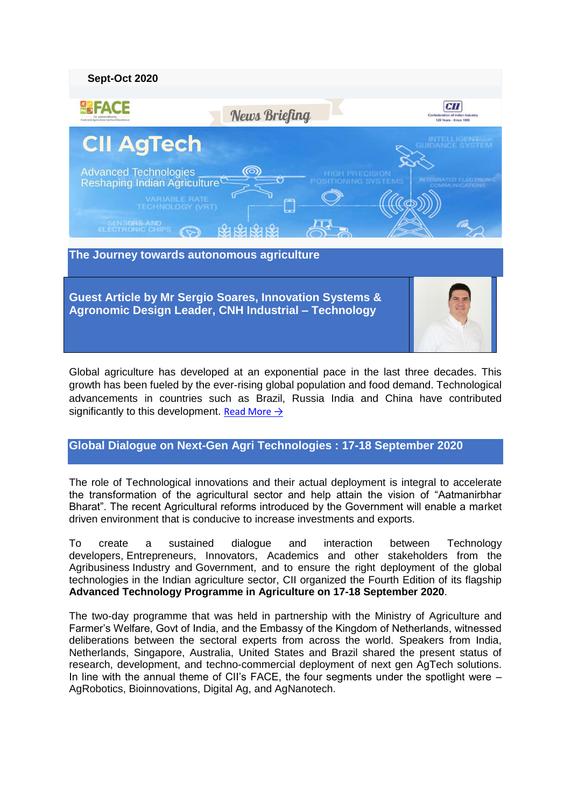

**Guest Article by Mr Sergio Soares, Innovation Systems & Agronomic Design Leader, CNH Industrial – Technology**



Global agriculture has developed at an exponential pace in the last three decades. This growth has been fueled by the ever-rising global population and food demand. Technological advancements in countries such as Brazil, Russia India and China have contributed significantly to this development. Read More  $\rightarrow$ 

# **Global Dialogue on Next-Gen Agri Technologies : 17-18 September 2020**

The role of Technological innovations and their actual deployment is integral to accelerate the transformation of the agricultural sector and help attain the vision of "Aatmanirbhar Bharat". The recent Agricultural reforms introduced by the Government will enable a market driven environment that is conducive to increase investments and exports.

To create a sustained dialogue and interaction between Technology developers, Entrepreneurs, Innovators, Academics and other stakeholders from the Agribusiness Industry and Government, and to ensure the right deployment of the global technologies in the Indian agriculture sector, CII organized the Fourth Edition of its flagship **Advanced Technology Programme in Agriculture on 17-18 September 2020**.

The two-day programme that was held in partnership with the Ministry of Agriculture and Farmer"s Welfare, Govt of India, and the Embassy of the Kingdom of Netherlands, witnessed deliberations between the sectoral experts from across the world. Speakers from India, Netherlands, Singapore, Australia, United States and Brazil shared the present status of research, development, and techno-commercial deployment of next gen AgTech solutions. In line with the annual theme of CII's FACE, the four segments under the spotlight were – AgRobotics, Bioinnovations, Digital Ag, and AgNanotech.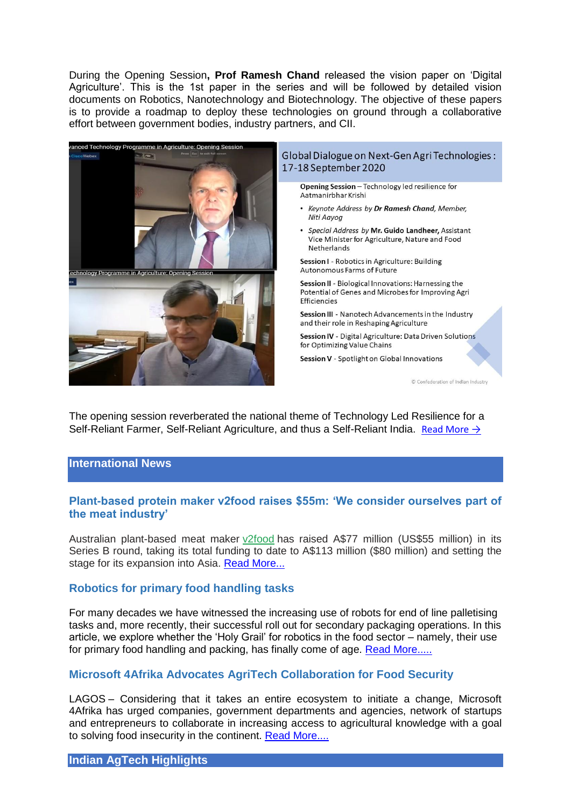During the Opening Session**, Prof Ramesh Chand** released the vision paper on "Digital Agriculture". This is the 1st paper in the series and will be followed by detailed vision documents on Robotics, Nanotechnology and Biotechnology. The objective of these papers is to provide a roadmap to deploy these technologies on ground through a collaborative effort between government bodies, industry partners, and CII.



The opening session reverberated the national theme of Technology Led Resilience for a Self-Reliant Farmer, Self-Reliant Agriculture, and thus a Self-Reliant India. [Read More →](http://ciiagtech.com/newsletter/CII-Global-Dialogue-20201Article-2.pdf)

#### **International News**

## **Plant-based protein maker v2food raises \$55m: 'We consider ourselves part of the meat industry'**

Australian plant-based meat maker [v2food](https://www.v2food.com/) has raised A\$77 million (US\$55 million) in its Series B round, taking its total funding to date to A\$113 million (\$80 million) and setting the stage for its expansion into Asia. [Read More...](https://agfundernews.com/v2food-banks-55m-to-take-its-plant-based-protein-to-asia.html)

## **Robotics for primary food handling tasks**

For many decades we have witnessed the increasing use of robots for end of line palletising tasks and, more recently, their successful roll out for secondary packaging operations. In this article, we explore whether the "Holy Grail" for robotics in the food sector – namely, their use for primary food handling and packing, has finally come of age. [Read More.....](https://www.newfoodmagazine.com/article/122571/robotics/)

## **Microsoft 4Afrika Advocates AgriTech Collaboration for Food Security**

LAGOS – Considering that it takes an entire ecosystem to initiate a change, Microsoft 4Afrika has urged companies, government departments and agencies, network of startups and entrepreneurs to collaborate in increasing access to agricultural knowledge with a goal to solving food insecurity in the continent. [Read More....](https://www.independent.ng/microsoft-4afrika-advocates-agritech-collaboration-for-food-security/)